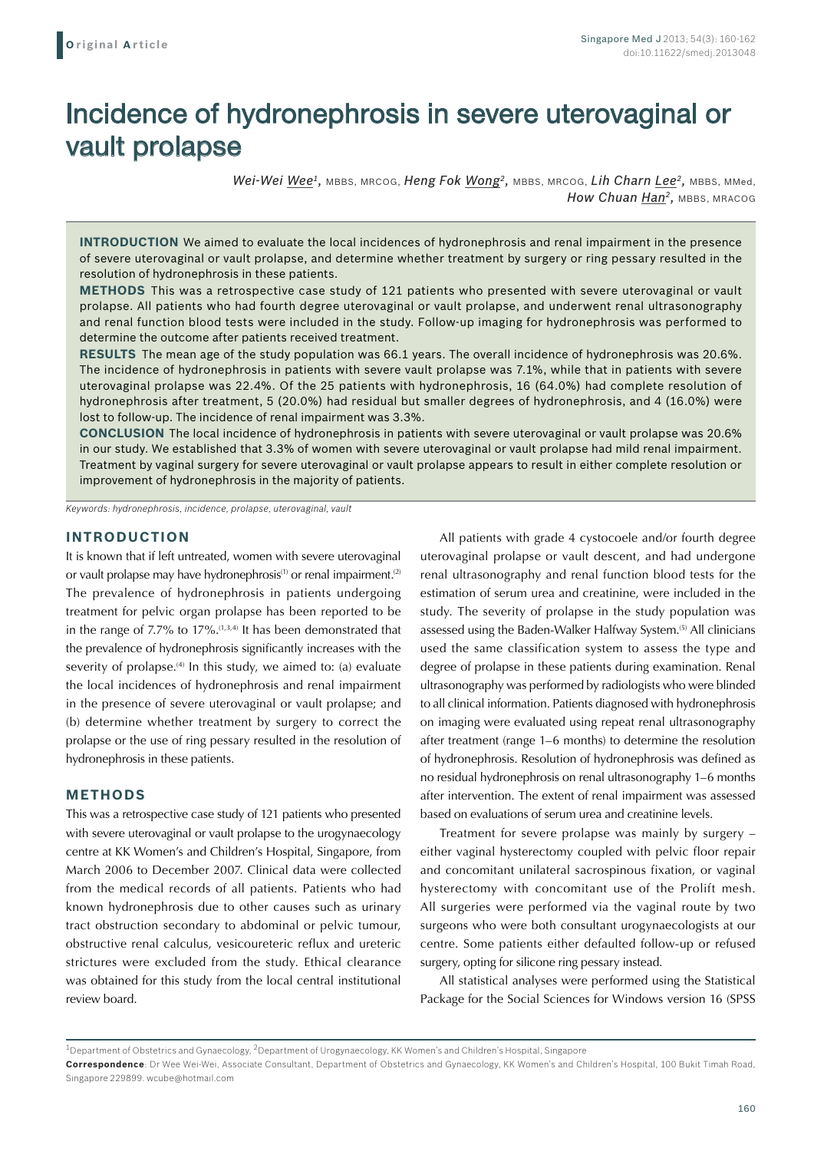# Incidence of hydronephrosis in severe uterovaginal or vault prolapse

*Wei-Wei Wee1,* MBBS, MRCOG, *Heng Fok Wong2,* MBBS, MRCOG, *Lih Charn Lee2,* MBBS, MMed, How Chuan Han<sup>2</sup>, MBBS, MRACOG

**INTRODUCTION** We aimed to evaluate the local incidences of hydronephrosis and renal impairment in the presence of severe uterovaginal or vault prolapse, and determine whether treatment by surgery or ring pessary resulted in the resolution of hydronephrosis in these patients.

**Methods** This was a retrospective case study of 121 patients who presented with severe uterovaginal or vault prolapse. All patients who had fourth degree uterovaginal or vault prolapse, and underwent renal ultrasonography and renal function blood tests were included in the study. Follow-up imaging for hydronephrosis was performed to determine the outcome after patients received treatment.

**Results** The mean age of the study population was 66.1 years. The overall incidence of hydronephrosis was 20.6%. The incidence of hydronephrosis in patients with severe vault prolapse was 7.1%, while that in patients with severe uterovaginal prolapse was 22.4%. Of the 25 patients with hydronephrosis, 16 (64.0%) had complete resolution of hydronephrosis after treatment, 5 (20.0%) had residual but smaller degrees of hydronephrosis, and 4 (16.0%) were lost to follow-up. The incidence of renal impairment was 3.3%.

**Conclusion** The local incidence of hydronephrosis in patients with severe uterovaginal or vault prolapse was 20.6% in our study. We established that 3.3% of women with severe uterovaginal or vault prolapse had mild renal impairment. Treatment by vaginal surgery for severe uterovaginal or vault prolapse appears to result in either complete resolution or improvement of hydronephrosis in the majority of patients.

*Keywords: hydronephrosis, incidence, prolapse, uterovaginal, vault*

### **INTRODUCTION**

It is known that if left untreated, women with severe uterovaginal or vault prolapse may have hydronephrosis<sup>(1)</sup> or renal impairment.<sup>(2)</sup> The prevalence of hydronephrosis in patients undergoing treatment for pelvic organ prolapse has been reported to be in the range of 7.7% to 17%.(1,3,4) It has been demonstrated that the prevalence of hydronephrosis significantly increases with the severity of prolapse.<sup>(4)</sup> In this study, we aimed to: (a) evaluate the local incidences of hydronephrosis and renal impairment in the presence of severe uterovaginal or vault prolapse; and (b) determine whether treatment by surgery to correct the prolapse or the use of ring pessary resulted in the resolution of hydronephrosis in these patients.

## **METHODS**

This was a retrospective case study of 121 patients who presented with severe uterovaginal or vault prolapse to the urogynaecology centre at KK Women's and Children's Hospital, Singapore, from March 2006 to December 2007. Clinical data were collected from the medical records of all patients. Patients who had known hydronephrosis due to other causes such as urinary tract obstruction secondary to abdominal or pelvic tumour, obstructive renal calculus, vesicoureteric reflux and ureteric strictures were excluded from the study. Ethical clearance was obtained for this study from the local central institutional review board.

All patients with grade 4 cystocoele and/or fourth degree uterovaginal prolapse or vault descent, and had undergone renal ultrasonography and renal function blood tests for the estimation of serum urea and creatinine, were included in the study. The severity of prolapse in the study population was assessed using the Baden-Walker Halfway System.<sup>(5)</sup> All clinicians used the same classification system to assess the type and degree of prolapse in these patients during examination. Renal ultrasonography was performed by radiologists who were blinded to all clinical information. Patients diagnosed with hydronephrosis on imaging were evaluated using repeat renal ultrasonography after treatment (range 1–6 months) to determine the resolution of hydronephrosis. Resolution of hydronephrosis was defined as no residual hydronephrosis on renal ultrasonography 1–6 months after intervention. The extent of renal impairment was assessed based on evaluations of serum urea and creatinine levels.

Treatment for severe prolapse was mainly by surgery – either vaginal hysterectomy coupled with pelvic floor repair and concomitant unilateral sacrospinous fixation, or vaginal hysterectomy with concomitant use of the Prolift mesh. All surgeries were performed via the vaginal route by two surgeons who were both consultant urogynaecologists at our centre. Some patients either defaulted follow-up or refused surgery, opting for silicone ring pessary instead.

All statistical analyses were performed using the Statistical Package for the Social Sciences for Windows version 16 (SPSS

 $1$ Department of Obstetrics and Gynaecology,  $2$ Department of Urogynaecology, KK Women's and Children's Hospital, Singapore

**Correspondence**: Dr Wee Wei-Wei, Associate Consultant, Department of Obstetrics and Gynaecology, KK Women's and Children's Hospital, 100 Bukit Timah Road, Singapore 229899. wcube@hotmail.com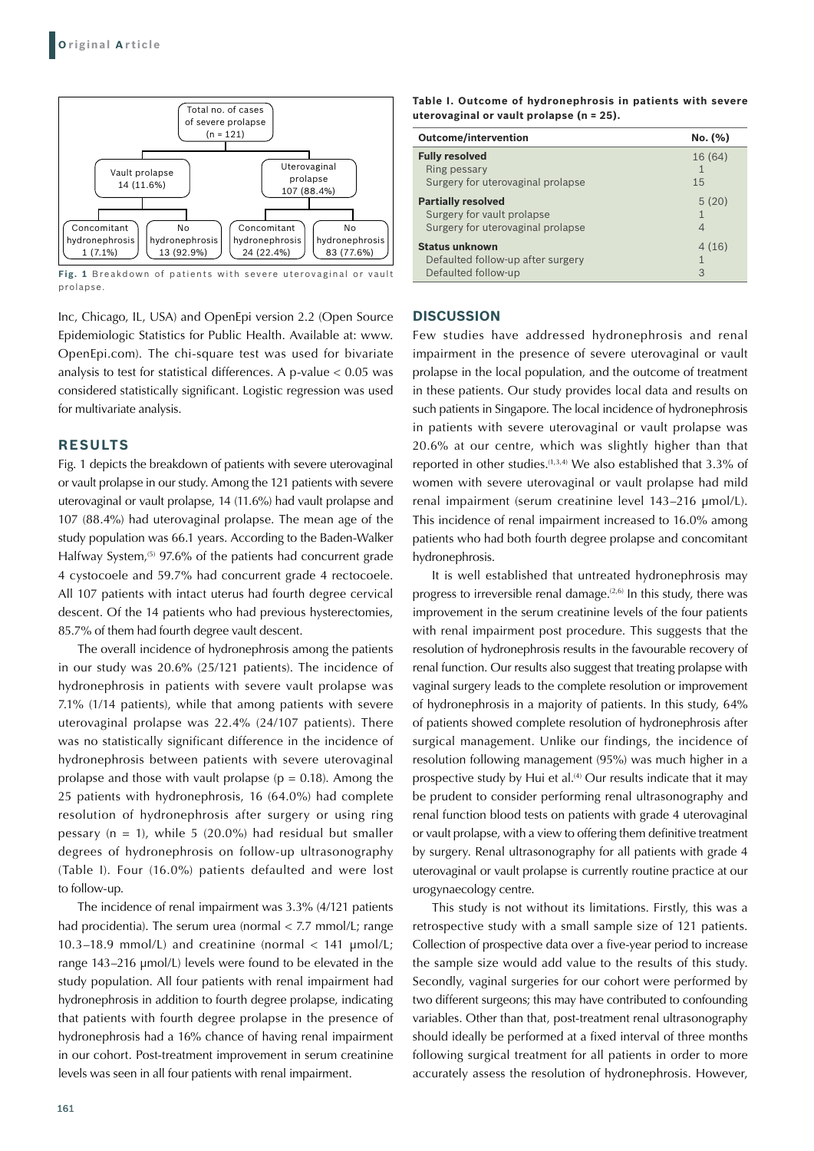

**Fig. 1** Breakdown of patients with severe uterovaginal or vault prolapse.

Inc, Chicago, IL, USA) and OpenEpi version 2.2 (Open Source Epidemiologic Statistics for Public Health. Available at: www. OpenEpi.com). The chi-square test was used for bivariate analysis to test for statistical differences. A p-value < 0.05 was considered statistically significant. Logistic regression was used for multivariate analysis.

#### **RESULTS**

Fig. 1 depicts the breakdown of patients with severe uterovaginal or vault prolapse in our study. Among the 121 patients with severe uterovaginal or vault prolapse, 14 (11.6%) had vault prolapse and 107 (88.4%) had uterovaginal prolapse. The mean age of the study population was 66.1 years. According to the Baden-Walker Halfway System,<sup>(5)</sup> 97.6% of the patients had concurrent grade 4 cystocoele and 59.7% had concurrent grade 4 rectocoele. All 107 patients with intact uterus had fourth degree cervical descent. Of the 14 patients who had previous hysterectomies, 85.7% of them had fourth degree vault descent.

The overall incidence of hydronephrosis among the patients in our study was 20.6% (25/121 patients). The incidence of hydronephrosis in patients with severe vault prolapse was 7.1% (1/14 patients), while that among patients with severe uterovaginal prolapse was 22.4% (24/107 patients). There was no statistically significant difference in the incidence of hydronephrosis between patients with severe uterovaginal prolapse and those with vault prolapse ( $p = 0.18$ ). Among the 25 patients with hydronephrosis, 16 (64.0%) had complete resolution of hydronephrosis after surgery or using ring pessary ( $n = 1$ ), while 5 (20.0%) had residual but smaller degrees of hydronephrosis on follow-up ultrasonography (Table I). Four (16.0%) patients defaulted and were lost to follow-up.

The incidence of renal impairment was 3.3% (4/121 patients had procidentia). The serum urea (normal < 7.7 mmol/L; range 10.3–18.9 mmol/L) and creatinine (normal < 141 μmol/L; range 143–216 μmol/L) levels were found to be elevated in the study population. All four patients with renal impairment had hydronephrosis in addition to fourth degree prolapse, indicating that patients with fourth degree prolapse in the presence of hydronephrosis had a 16% chance of having renal impairment in our cohort. Post-treatment improvement in serum creatinine levels was seen in all four patients with renal impairment.

| <b>Outcome/intervention</b>       | No. (%) |
|-----------------------------------|---------|
| <b>Fully resolved</b>             | 16 (64) |
| Ring pessary                      | 1       |
| Surgery for uterovaginal prolapse | 15      |
| <b>Partially resolved</b>         | 5(20)   |
| Surgery for vault prolapse        | 1       |
| Surgery for uterovaginal prolapse | 4       |
| <b>Status unknown</b>             | 4(16)   |
| Defaulted follow-up after surgery | 1       |
| Defaulted follow-up               | 3       |

#### **DISCUSSION**

Few studies have addressed hydronephrosis and renal impairment in the presence of severe uterovaginal or vault prolapse in the local population, and the outcome of treatment in these patients. Our study provides local data and results on such patients in Singapore. The local incidence of hydronephrosis in patients with severe uterovaginal or vault prolapse was 20.6% at our centre, which was slightly higher than that reported in other studies.<sup> $(1,3,4)$ </sup> We also established that  $3.3\%$  of women with severe uterovaginal or vault prolapse had mild renal impairment (serum creatinine level 143–216 μmol/L). This incidence of renal impairment increased to 16.0% among patients who had both fourth degree prolapse and concomitant hydronephrosis.

It is well established that untreated hydronephrosis may progress to irreversible renal damage.<sup> $(2,6)$ </sup> In this study, there was improvement in the serum creatinine levels of the four patients with renal impairment post procedure. This suggests that the resolution of hydronephrosis results in the favourable recovery of renal function. Our results also suggest that treating prolapse with vaginal surgery leads to the complete resolution or improvement of hydronephrosis in a majority of patients. In this study, 64% of patients showed complete resolution of hydronephrosis after surgical management. Unlike our findings, the incidence of resolution following management (95%) was much higher in a prospective study by Hui et al.<sup>(4)</sup> Our results indicate that it may be prudent to consider performing renal ultrasonography and renal function blood tests on patients with grade 4 uterovaginal or vault prolapse, with a view to offering them definitive treatment by surgery. Renal ultrasonography for all patients with grade 4 uterovaginal or vault prolapse is currently routine practice at our urogynaecology centre.

This study is not without its limitations. Firstly, this was a retrospective study with a small sample size of 121 patients. Collection of prospective data over a five-year period to increase the sample size would add value to the results of this study. Secondly, vaginal surgeries for our cohort were performed by two different surgeons; this may have contributed to confounding variables. Other than that, post-treatment renal ultrasonography should ideally be performed at a fixed interval of three months following surgical treatment for all patients in order to more accurately assess the resolution of hydronephrosis. However,